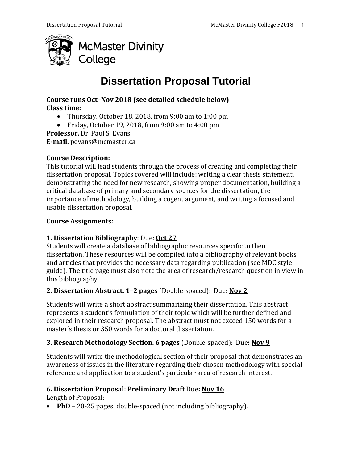

# **Dissertation Proposal Tutorial**

#### **Course runs Oct–Nov 2018 (see detailed schedule below) Class time:**

- Thursday, October 18, 2018, from 9:00 am to 1:00 pm
- Friday, October 19, 2018, from 9:00 am to 4:00 pm

**Professor.** Dr. Paul S. Evans

**E-mail.** pevans@mcmaster.ca

#### **Course Description:**

This tutorial will lead students through the process of creating and completing their dissertation proposal. Topics covered will include: writing a clear thesis statement, demonstrating the need for new research, showing proper documentation, building a critical database of primary and secondary sources for the dissertation, the importance of methodology, building a cogent argument, and writing a focused and usable dissertation proposal.

# **Course Assignments:**

# **1. Dissertation Bibliography**: Due: **Oct 27**

Students will create a database of bibliographic resources specific to their dissertation. These resources will be compiled into a bibliography of relevant books and articles that provides the necessary data regarding publication (see MDC style guide). The title page must also note the area of research/research question in view in this bibliography.

# **2. Dissertation Abstract. 1–2 pages** (Double-spaced): Due**: Nov 2**

Students will write a short abstract summarizing their dissertation. This abstract represents a student's formulation of their topic which will be further defined and explored in their research proposal. The abstract must not exceed 150 words for a master's thesis or 350 words for a doctoral dissertation.

# **3. Research Methodology Section. 6 pages** (Double-spaced): Due**: Nov 9**

Students will write the methodological section of their proposal that demonstrates an awareness of issues in the literature regarding their chosen methodology with special reference and application to a student's particular area of research interest.

# **6. Dissertation Proposal**: **Preliminary Draft** Due**: Nov 16**

Length of Proposal:

• **PhD** – 20-25 pages, double-spaced (not including bibliography).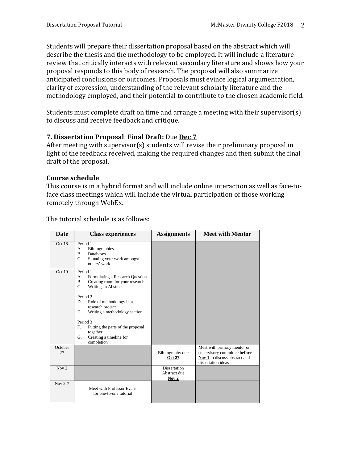Students will prepare their dissertation proposal based on the abstract which will describe the thesis and the methodology to be employed. It will include a literature review that critically interacts with relevant secondary literature and shows how your proposal responds to this body of research. The proposal will also summarize anticipated conclusions or outcomes. Proposals must evince logical argumentation, clarity of expression, understanding of the relevant scholarly literature and the methodology employed, and their potential to contribute to the chosen academic field.

Students must complete draft on time and arrange a meeting with their supervisor(s) to discuss and receive feedback and critique.

# **7. Dissertation Proposal**: **Final Draft:** Due **Dec 7**

After meeting with supervisor(s) students will revise their preliminary proposal in light of the feedback received, making the required changes and then submit the final draft of the proposal.

# **Course schedule**

This course is in a hybrid format and will include online interaction as well as face-toface class meetings which will include the virtual participation of those working remotely through WebEx.

| Date          | <b>Class experiences</b>                                                                                                                                                                                                                                                                                                                                             | <b>Assignments</b>                           | <b>Meet with Mentor</b>                                                                                            |
|---------------|----------------------------------------------------------------------------------------------------------------------------------------------------------------------------------------------------------------------------------------------------------------------------------------------------------------------------------------------------------------------|----------------------------------------------|--------------------------------------------------------------------------------------------------------------------|
| Oct 18        | Period 1<br><b>Bibliographies</b><br>А.<br><b>B.</b><br>Databases<br>C.<br>Situating your work amongst<br>others' work                                                                                                                                                                                                                                               |                                              |                                                                                                                    |
| Oct 19        | Period 1<br>Formulating a Research Question<br>А.<br><b>B.</b><br>Creating room for your research<br>C.<br>Writing an Abstract<br>Period <sub>2</sub><br>D.<br>Role of methodology in a<br>research project<br>Writing a methodology section<br>Ε.<br>Period 3<br>F.<br>Putting the parts of the proposal<br>together<br>Creating a timeline for<br>G.<br>completion |                                              |                                                                                                                    |
| October<br>27 |                                                                                                                                                                                                                                                                                                                                                                      | Bibliography due<br><b>Oct 27</b>            | Meet with primary mentor or<br>supervisory committee before<br>Nov 1 to discuss abstract and<br>dissertation ideas |
| Nov $2$       |                                                                                                                                                                                                                                                                                                                                                                      | <b>Dissertation</b><br>Abstract due<br>Nov 2 |                                                                                                                    |
| Nov 2-7       | Meet with Professor Evans<br>for one-to-one tutorial                                                                                                                                                                                                                                                                                                                 |                                              |                                                                                                                    |

The tutorial schedule is as follows: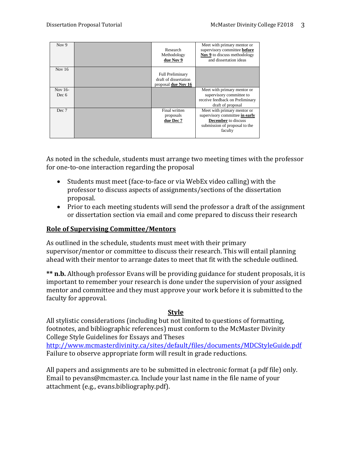| Nov $9$          | Research<br>Methodology<br>due Nov 9                                    | Meet with primary mentor or<br>supervisory committee before<br>Nov 9 to discuss methodology<br>and dissertation ideas                   |
|------------------|-------------------------------------------------------------------------|-----------------------------------------------------------------------------------------------------------------------------------------|
| Nov $16$         | <b>Full Preliminary</b><br>draft of dissertation<br>proposal due Nov 16 |                                                                                                                                         |
| Nov 16-<br>Dec 6 |                                                                         | Meet with primary mentor or<br>supervisory committee to<br>receive feedback on Preliminary<br>draft of proposal                         |
| Dec 7            | Final written<br>proposals<br>due Dec 7                                 | Meet with primary mentor or<br>supervisory committee in early<br><b>December</b> to discuss<br>submission of proposal to the<br>faculty |

As noted in the schedule, students must arrange two meeting times with the professor for one-to-one interaction regarding the proposal

- Students must meet (face-to-face or via WebEx video calling) with the professor to discuss aspects of assignments/sections of the dissertation proposal.
- Prior to each meeting students will send the professor a draft of the assignment or dissertation section via email and come prepared to discuss their research

#### **Role of Supervising Committee/Mentors**

As outlined in the schedule, students must meet with their primary supervisor/mentor or committee to discuss their research. This will entail planning ahead with their mentor to arrange dates to meet that fit with the schedule outlined.

**\*\* n.b.** Although professor Evans will be providing guidance for student proposals, it is important to remember your research is done under the supervision of your assigned mentor and committee and they must approve your work before it is submitted to the faculty for approval.

#### **Style**

All stylistic considerations (including but not limited to questions of formatting, footnotes, and bibliographic references) must conform to the McMaster Divinity College Style Guidelines for Essays and Theses

<http://www.mcmasterdivinity.ca/sites/default/files/documents/MDCStyleGuide.pdf> Failure to observe appropriate form will result in grade reductions.

All papers and assignments are to be submitted in electronic format (a pdf file) only. Email to pevans@mcmaster.ca. Include your last name in the file name of your attachment (e.g., evans.bibliography.pdf).